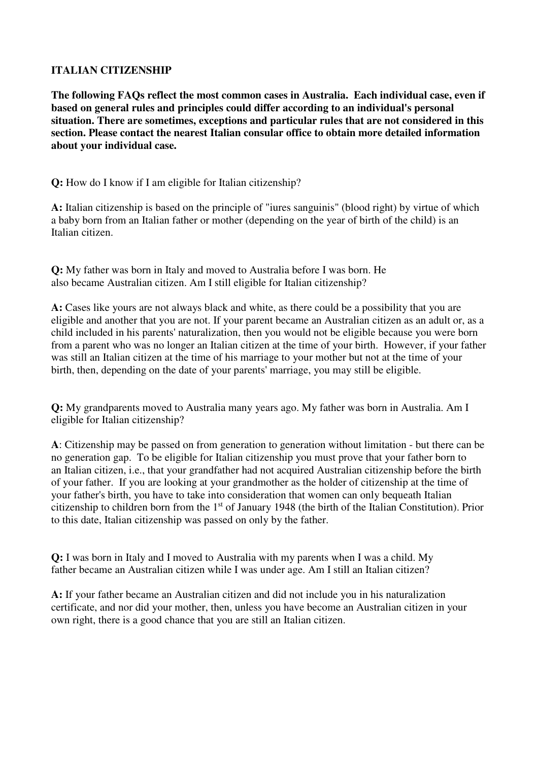## **ITALIAN CITIZENSHIP**

**The following FAQs reflect the most common cases in Australia. Each individual case, even if based on general rules and principles could differ according to an individual's personal situation. There are sometimes, exceptions and particular rules that are not considered in this section. Please contact the nearest Italian consular office to obtain more detailed information about your individual case.** 

**Q:** How do I know if I am eligible for Italian citizenship?

**A:** Italian citizenship is based on the principle of "iures sanguinis" (blood right) by virtue of which a baby born from an Italian father or mother (depending on the year of birth of the child) is an Italian citizen.

**Q:** My father was born in Italy and moved to Australia before I was born. He also became Australian citizen. Am I still eligible for Italian citizenship?

**A:** Cases like yours are not always black and white, as there could be a possibility that you are eligible and another that you are not. If your parent became an Australian citizen as an adult or, as a child included in his parents' naturalization, then you would not be eligible because you were born from a parent who was no longer an Italian citizen at the time of your birth. However, if your father was still an Italian citizen at the time of his marriage to your mother but not at the time of your birth, then, depending on the date of your parents' marriage, you may still be eligible.

**Q:** My grandparents moved to Australia many years ago. My father was born in Australia. Am I eligible for Italian citizenship?

**A**: Citizenship may be passed on from generation to generation without limitation - but there can be no generation gap. To be eligible for Italian citizenship you must prove that your father born to an Italian citizen, i.e., that your grandfather had not acquired Australian citizenship before the birth of your father. If you are looking at your grandmother as the holder of citizenship at the time of your father's birth, you have to take into consideration that women can only bequeath Italian citizenship to children born from the 1st of January 1948 (the birth of the Italian Constitution). Prior to this date, Italian citizenship was passed on only by the father.

**Q:** I was born in Italy and I moved to Australia with my parents when I was a child. My father became an Australian citizen while I was under age. Am I still an Italian citizen?

**A:** If your father became an Australian citizen and did not include you in his naturalization certificate, and nor did your mother, then, unless you have become an Australian citizen in your own right, there is a good chance that you are still an Italian citizen.